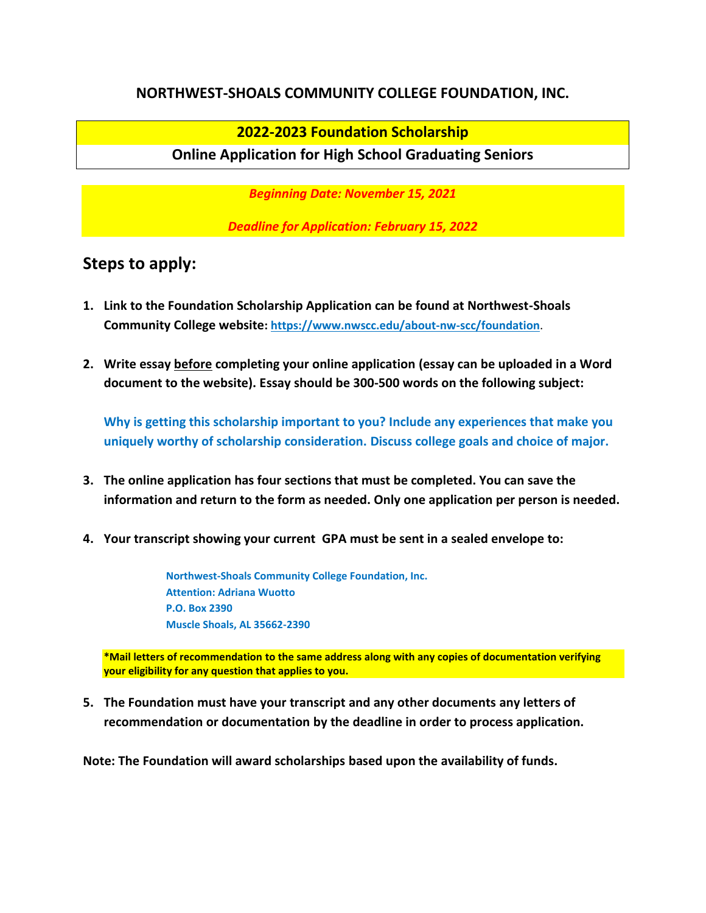#### **NORTHWEST-SHOALS COMMUNITY COLLEGE FOUNDATION, INC.**

### **2022-2023 Foundation Scholarship**

#### **Online Application for High School Graduating Seniors**

*Beginning Date: November 15, 2021*

*Deadline for Application: February 15, 2022*

## **Steps to apply:**

- **1. Link to the Foundation Scholarship Application can be found at Northwest-Shoals Community College website:<https://www.nwscc.edu/about-nw-scc/foundation>**.
- **2. Write essay before completing your online application (essay can be uploaded in a Word document to the website). Essay should be 300-500 words on the following subject:**

**Why is getting this scholarship important to you? Include any experiences that make you uniquely worthy of scholarship consideration. Discuss college goals and choice of major.**

- **3. The online application has four sections that must be completed. You can save the information and return to the form as needed. Only one application per person is needed.**
- **4. Your transcript showing your current GPA must be sent in a sealed envelope to:**

**Northwest-Shoals Community College Foundation, Inc. Attention: Adriana Wuotto P.O. Box 2390 Muscle Shoals, AL 35662-2390**

**\*Mail letters of recommendation to the same address along with any copies of documentation verifying your eligibility for any question that applies to you.**

**5. The Foundation must have your transcript and any other documents any letters of recommendation or documentation by the deadline in order to process application.**

**Note: The Foundation will award scholarships based upon the availability of funds.**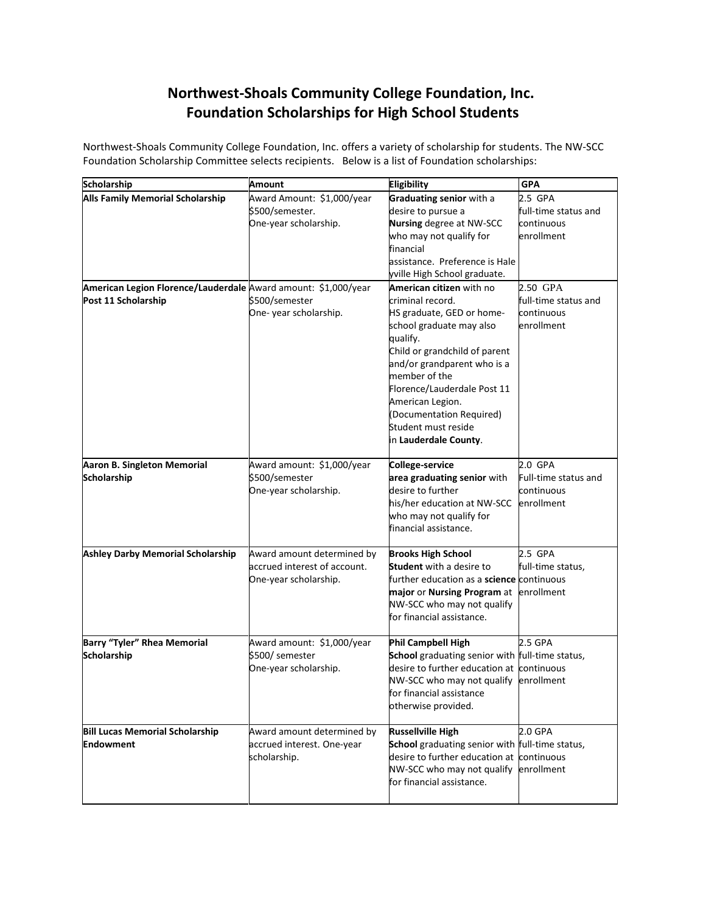# **Northwest-Shoals Community College Foundation, Inc. Foundation Scholarships for High School Students**

Northwest-Shoals Community College Foundation, Inc. offers a variety of scholarship for students. The NW-SCC Foundation Scholarship Committee selects recipients. Below is a list of Foundation scholarships:

| Scholarship                                                    | <b>Amount</b>                | <b>Eligibility</b>                               | <b>GPA</b>           |
|----------------------------------------------------------------|------------------------------|--------------------------------------------------|----------------------|
| <b>Alls Family Memorial Scholarship</b>                        | Award Amount: \$1,000/year   | Graduating senior with a                         | 2.5 GPA              |
|                                                                | \$500/semester.              | desire to pursue a                               | full-time status and |
|                                                                | One-year scholarship.        | Nursing degree at NW-SCC                         | continuous           |
|                                                                |                              | who may not qualify for                          | enrollment           |
|                                                                |                              | financial                                        |                      |
|                                                                |                              | assistance. Preference is Hale                   |                      |
|                                                                |                              | yville High School graduate.                     |                      |
| American Legion Florence/Lauderdale Award amount: \$1,000/year |                              | American citizen with no                         | 2.50 GPA             |
| Post 11 Scholarship                                            | \$500/semester               | criminal record.                                 | full-time status and |
|                                                                | One-year scholarship.        | HS graduate, GED or home-                        | continuous           |
|                                                                |                              | school graduate may also                         | enrollment           |
|                                                                |                              | qualify.                                         |                      |
|                                                                |                              | Child or grandchild of parent                    |                      |
|                                                                |                              | and/or grandparent who is a                      |                      |
|                                                                |                              | member of the                                    |                      |
|                                                                |                              | Florence/Lauderdale Post 11                      |                      |
|                                                                |                              | American Legion.                                 |                      |
|                                                                |                              | (Documentation Required)                         |                      |
|                                                                |                              | Student must reside                              |                      |
|                                                                |                              | in Lauderdale County.                            |                      |
| Aaron B. Singleton Memorial                                    | Award amount: \$1,000/year   | College-service                                  | 2.0 GPA              |
| <b>Scholarship</b>                                             | \$500/semester               | area graduating senior with                      | Full-time status and |
|                                                                | One-year scholarship.        | desire to further                                | continuous           |
|                                                                |                              | his/her education at NW-SCC                      | enrollment           |
|                                                                |                              | who may not qualify for                          |                      |
|                                                                |                              | financial assistance.                            |                      |
|                                                                |                              |                                                  |                      |
| <b>Ashley Darby Memorial Scholarship</b>                       | Award amount determined by   | <b>Brooks High School</b>                        | 2.5 GPA              |
|                                                                | accrued interest of account. | <b>Student</b> with a desire to                  | full-time status,    |
|                                                                | One-year scholarship.        | further education as a <b>science</b> continuous |                      |
|                                                                |                              | major or Nursing Program at enrollment           |                      |
|                                                                |                              | NW-SCC who may not qualify                       |                      |
|                                                                |                              | for financial assistance.                        |                      |
| Barry "Tyler" Rhea Memorial                                    | Award amount: \$1,000/year   | Phil Campbell High                               | 2.5 GPA              |
| Scholarship                                                    | \$500/ semester              | School graduating senior with full-time status,  |                      |
|                                                                | One-year scholarship.        | desire to further education at continuous        |                      |
|                                                                |                              | NW-SCC who may not qualify enrollment            |                      |
|                                                                |                              | for financial assistance                         |                      |
|                                                                |                              | otherwise provided.                              |                      |
|                                                                |                              |                                                  |                      |
| <b>Bill Lucas Memorial Scholarship</b>                         | Award amount determined by   | <b>Russellville High</b>                         | 2.0 GPA              |
| Endowment                                                      | accrued interest. One-year   | School graduating senior with full-time status,  |                      |
|                                                                | scholarship.                 | desire to further education at continuous        |                      |
|                                                                |                              | NW-SCC who may not qualify                       | enrollment           |
|                                                                |                              | for financial assistance.                        |                      |
|                                                                |                              |                                                  |                      |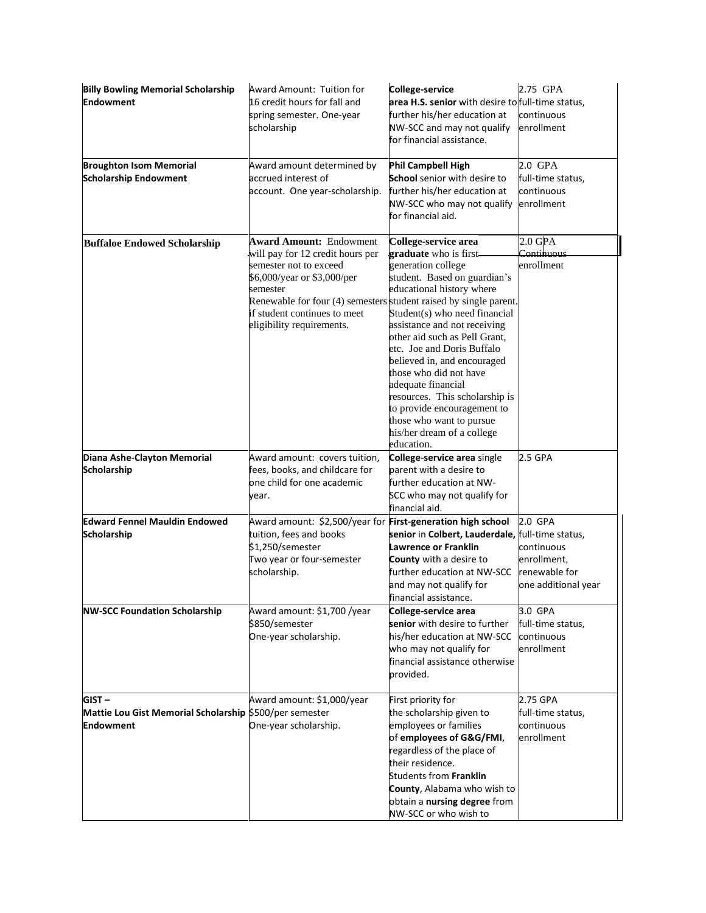| <b>Billy Bowling Memorial Scholarship</b><br><b>Endowment</b>                           | Award Amount: Tuition for<br>16 credit hours for fall and<br>spring semester. One-year<br>scholarship                                                                                                                                                                     | College-service<br>area H.S. senior with desire to full-time status,<br>further his/her education at<br>NW-SCC and may not qualify<br>for financial assistance.                                                                                                                                                                                                                                                                                                                          | 2.75 GPA<br>continuous<br>enrollment                                         |
|-----------------------------------------------------------------------------------------|---------------------------------------------------------------------------------------------------------------------------------------------------------------------------------------------------------------------------------------------------------------------------|------------------------------------------------------------------------------------------------------------------------------------------------------------------------------------------------------------------------------------------------------------------------------------------------------------------------------------------------------------------------------------------------------------------------------------------------------------------------------------------|------------------------------------------------------------------------------|
| <b>Broughton Isom Memorial</b><br><b>Scholarship Endowment</b>                          | Award amount determined by<br>accrued interest of<br>account. One year-scholarship.                                                                                                                                                                                       | Phil Campbell High<br><b>School</b> senior with desire to<br>further his/her education at<br>NW-SCC who may not qualify<br>for financial aid.                                                                                                                                                                                                                                                                                                                                            | 2.0 GPA<br>full-time status,<br>continuous<br>enrollment                     |
| <b>Buffaloe Endowed Scholarship</b>                                                     | <b>Award Amount: Endowment</b><br>will pay for 12 credit hours per<br>semester not to exceed<br>\$6,000/year or \$3,000/per<br>semester<br>Renewable for four (4) semesters student raised by single parent.<br>if student continues to meet<br>eligibility requirements. | College-service area<br>graduate who is first<br>generation college<br>student. Based on guardian's<br>educational history where<br>Student(s) who need financial<br>assistance and not receiving<br>other aid such as Pell Grant,<br>etc. Joe and Doris Buffalo<br>believed in, and encouraged<br>those who did not have<br>adequate financial<br>resources. This scholarship is<br>to provide encouragement to<br>those who want to pursue<br>his/her dream of a college<br>education. | $2.0$ GPA<br>Continuous<br>enrollment                                        |
| Diana Ashe-Clayton Memorial<br><b>Scholarship</b>                                       | Award amount: covers tuition,<br>fees, books, and childcare for<br>one child for one academic<br>year.                                                                                                                                                                    | College-service area single<br>parent with a desire to<br>further education at NW-<br>SCC who may not qualify for<br>financial aid.                                                                                                                                                                                                                                                                                                                                                      | 2.5 GPA                                                                      |
| <b>Edward Fennel Mauldin Endowed</b><br>Scholarship                                     | Award amount: \$2,500/year for First-generation high school<br>tuition, fees and books<br>\$1,250/semester<br>Two year or four-semester<br>scholarship.                                                                                                                   | senior in Colbert, Lauderdale, full-time status,<br>Lawrence or Franklin<br>County with a desire to<br>further education at NW-SCC<br>and may not qualify for<br>financial assistance.                                                                                                                                                                                                                                                                                                   | 2.0 GPA<br>continuous<br>enrollment,<br>renewable for<br>one additional year |
| <b>NW-SCC Foundation Scholarship</b>                                                    | Award amount: \$1,700 /year<br>\$850/semester<br>One-year scholarship.                                                                                                                                                                                                    | College-service area<br>senior with desire to further<br>his/her education at NW-SCC<br>who may not qualify for<br>financial assistance otherwise<br>provided.                                                                                                                                                                                                                                                                                                                           | 3.0 GPA<br>full-time status,<br>continuous<br>enrollment                     |
| $GIST -$<br>Mattie Lou Gist Memorial Scholarship \$500/per semester<br><b>Endowment</b> | Award amount: \$1,000/year<br>One-year scholarship.                                                                                                                                                                                                                       | First priority for<br>the scholarship given to<br>employees or families<br>of employees of G&G/FMI,<br>regardless of the place of<br>their residence.<br><b>Students from Franklin</b><br>County, Alabama who wish to<br>obtain a nursing degree from<br>NW-SCC or who wish to                                                                                                                                                                                                           | 2.75 GPA<br>full-time status,<br>continuous<br>enrollment                    |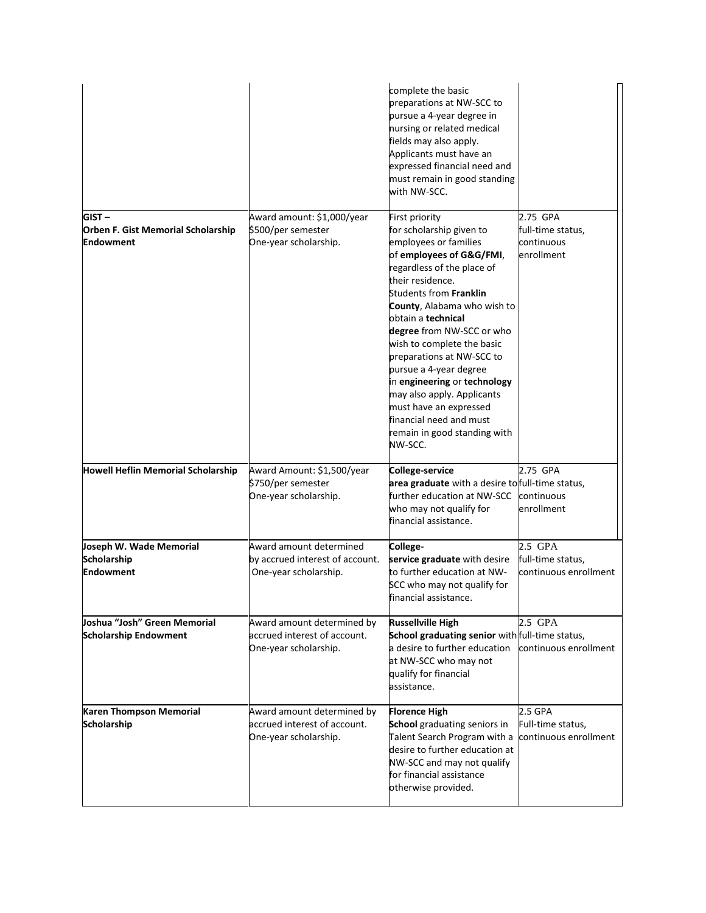|                                                                    |                                                                                     | complete the basic<br>preparations at NW-SCC to<br>pursue a 4-year degree in<br>nursing or related medical<br>fields may also apply.<br>Applicants must have an<br>expressed financial need and<br>must remain in good standing<br>with NW-SCC.                                                                                                                                                                                                                                                                         |                                                           |
|--------------------------------------------------------------------|-------------------------------------------------------------------------------------|-------------------------------------------------------------------------------------------------------------------------------------------------------------------------------------------------------------------------------------------------------------------------------------------------------------------------------------------------------------------------------------------------------------------------------------------------------------------------------------------------------------------------|-----------------------------------------------------------|
| $GIST -$<br>Orben F. Gist Memorial Scholarship<br><b>Endowment</b> | Award amount: \$1,000/year<br>\$500/per semester<br>One-year scholarship.           | First priority<br>for scholarship given to<br>employees or families<br>of employees of G&G/FMI,<br>regardless of the place of<br>their residence.<br><b>Students from Franklin</b><br>County, Alabama who wish to<br>obtain a technical<br>degree from NW-SCC or who<br>wish to complete the basic<br>preparations at NW-SCC to<br>pursue a 4-year degree<br>in engineering or technology<br>may also apply. Applicants<br>must have an expressed<br>financial need and must<br>remain in good standing with<br>NW-SCC. | 2.75 GPA<br>full-time status,<br>continuous<br>enrollment |
| Howell Heflin Memorial Scholarship                                 | Award Amount: \$1,500/year<br>\$750/per semester<br>One-year scholarship.           | College-service<br>area graduate with a desire to full-time status,<br>further education at NW-SCC<br>who may not qualify for<br>financial assistance.                                                                                                                                                                                                                                                                                                                                                                  | 2.75 GPA<br>continuous<br>enrollment                      |
| Joseph W. Wade Memorial<br><b>Scholarship</b><br><b>Endowment</b>  | Award amount determined<br>by accrued interest of account.<br>One-year scholarship. | College-<br>service graduate with desire<br>to further education at NW-<br>SCC who may not qualify for<br>financial assistance.                                                                                                                                                                                                                                                                                                                                                                                         | 2.5 GPA<br>full-time status,<br>continuous enrollment     |
| Joshua "Josh" Green Memorial<br><b>Scholarship Endowment</b>       | Award amount determined by<br>accrued interest of account.<br>One-year scholarship. | <b>Russellville High</b><br>School graduating senior with full-time status,<br>a desire to further education<br>at NW-SCC who may not<br>qualify for financial<br>assistance.                                                                                                                                                                                                                                                                                                                                           | 2.5 GPA<br>continuous enrollment                          |
| Karen Thompson Memorial<br>Scholarship                             | Award amount determined by<br>accrued interest of account.<br>One-year scholarship. | <b>Florence High</b><br><b>School</b> graduating seniors in<br>Talent Search Program with a<br>desire to further education at<br>NW-SCC and may not qualify<br>for financial assistance<br>otherwise provided.                                                                                                                                                                                                                                                                                                          | 2.5 GPA<br>Full-time status,<br>continuous enrollment     |